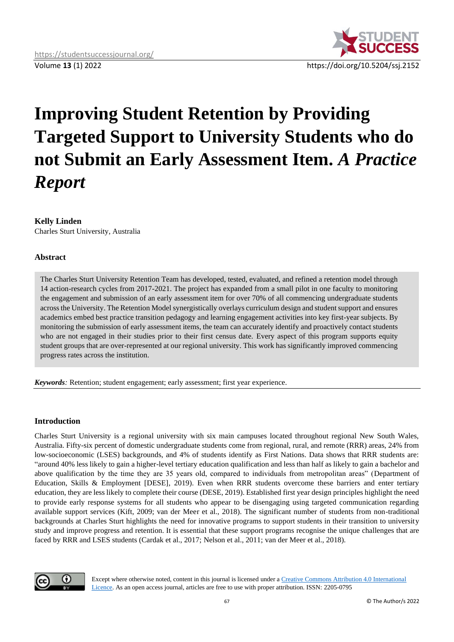

# **Improving Student Retention by Providing Targeted Support to University Students who do not Submit an Early Assessment Item.** *A Practice Report*

## **Kelly Linden**

Charles Sturt University, Australia

## **Abstract**

The Charles Sturt University Retention Team has developed, tested, evaluated, and refined a retention model through 14 action-research cycles from 2017-2021. The project has expanded from a small pilot in one faculty to monitoring the engagement and submission of an early assessment item for over 70% of all commencing undergraduate students across the University. The Retention Model synergistically overlays curriculum design and student support and ensures academics embed best practice transition pedagogy and learning engagement activities into key first-year subjects. By monitoring the submission of early assessment items, the team can accurately identify and proactively contact students who are not engaged in their studies prior to their first census date. Every aspect of this program supports equity student groups that are over-represented at our regional university. This work has significantly improved commencing progress rates across the institution.

*Keywords:* Retention; student engagement; early assessment; first year experience.

### **Introduction**

Charles Sturt University is a regional university with six main campuses located throughout regional New South Wales, Australia. Fifty-six percent of domestic undergraduate students come from regional, rural, and remote (RRR) areas, 24% from low-socioeconomic (LSES) backgrounds, and 4% of students identify as First Nations. Data shows that RRR students are: "around 40% less likely to gain a higher-level tertiary education qualification and less than half as likely to gain a bachelor and above qualification by the time they are 35 years old, compared to individuals from metropolitan areas" (Department of Education, Skills & Employment [DESE], 2019). Even when RRR students overcome these barriers and enter tertiary education, they are less likely to complete their course (DESE, 2019). Established first year design principles highlight the need to provide early response systems for all students who appear to be disengaging using targeted communication regarding available support services (Kift, 2009; van der Meer et al., 2018). The significant number of students from non-traditional backgrounds at Charles Sturt highlights the need for innovative programs to support students in their transition to university study and improve progress and retention. It is essential that these support programs recognise the unique challenges that are faced by RRR and LSES students (Cardak et al., 2017; Nelson et al., 2011; van der Meer et al., 2018).



Except where otherwise noted, content in this journal is licensed under a [Creative Commons Attribution 4.0 International](https://creativecommons.org/licenses/by/4.0/)  [Licence.](https://creativecommons.org/licenses/by/4.0/) As an open access journal, articles are free to use with proper attribution. ISSN: 2205-0795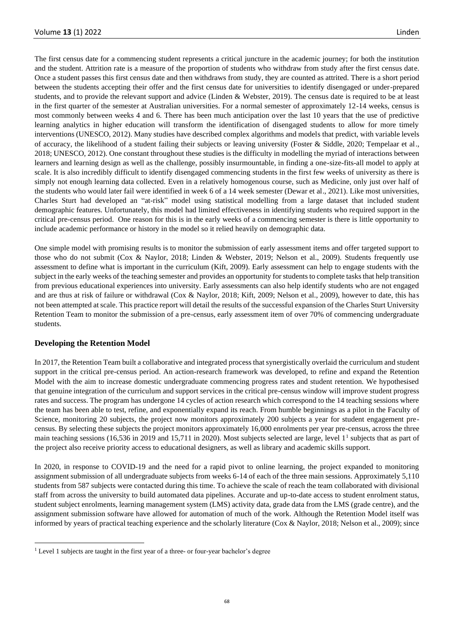The first census date for a commencing student represents a critical juncture in the academic journey; for both the institution and the student. Attrition rate is a measure of the proportion of students who withdraw from study after the first census date. Once a student passes this first census date and then withdraws from study, they are counted as attrited. There is a short period between the students accepting their offer and the first census date for universities to identify disengaged or under-prepared students, and to provide the relevant support and advice (Linden & Webster, 2019). The census date is required to be at least in the first quarter of the semester at Australian universities. For a normal semester of approximately 12-14 weeks, census is most commonly between weeks 4 and 6. There has been much anticipation over the last 10 years that the use of predictive learning analytics in higher education will transform the identification of disengaged students to allow for more timely interventions (UNESCO, 2012). Many studies have described complex algorithms and models that predict, with variable levels of accuracy, the likelihood of a student failing their subjects or leaving university (Foster & Siddle, 2020; Tempelaar et al., 2018; UNESCO, 2012). One constant throughout these studies is the difficulty in modelling the myriad of interactions between learners and learning design as well as the challenge, possibly insurmountable, in finding a one-size-fits-all model to apply at scale. It is also incredibly difficult to identify disengaged commencing students in the first few weeks of university as there is simply not enough learning data collected. Even in a relatively homogenous course, such as Medicine, only just over half of the students who would later fail were identified in week 6 of a 14 week semester (Dewar et al., 2021). Like most universities, Charles Sturt had developed an "at-risk" model using statistical modelling from a large dataset that included student demographic features. Unfortunately, this model had limited effectiveness in identifying students who required support in the critical pre-census period. One reason for this is in the early weeks of a commencing semester is there is little opportunity to include academic performance or history in the model so it relied heavily on demographic data.

One simple model with promising results is to monitor the submission of early assessment items and offer targeted support to those who do not submit (Cox & Naylor, 2018; Linden & Webster, 2019; Nelson et al., 2009). Students frequently use assessment to define what is important in the curriculum (Kift, 2009). Early assessment can help to engage students with the subject in the early weeks of the teaching semester and provides an opportunity for students to complete tasks that help transition from previous educational experiences into university. Early assessments can also help identify students who are not engaged and are thus at risk of failure or withdrawal (Cox & Naylor, 2018; Kift, 2009; Nelson et al., 2009), however to date, this has not been attempted at scale. This practice report will detail the results of the successful expansion of the Charles Sturt University Retention Team to monitor the submission of a pre-census, early assessment item of over 70% of commencing undergraduate students.

### **Developing the Retention Model**

In 2017, the Retention Team built a collaborative and integrated process that synergistically overlaid the curriculum and student support in the critical pre-census period. An action-research framework was developed, to refine and expand the Retention Model with the aim to increase domestic undergraduate commencing progress rates and student retention. We hypothesised that genuine integration of the curriculum and support services in the critical pre-census window will improve student progress rates and success. The program has undergone 14 cycles of action research which correspond to the 14 teaching sessions where the team has been able to test, refine, and exponentially expand its reach. From humble beginnings as a pilot in the Faculty of Science, monitoring 20 subjects, the project now monitors approximately 200 subjects a year for student engagement precensus. By selecting these subjects the project monitors approximately 16,000 enrolments per year pre-census, across the three main teaching sessions (16,536 in 2019 and 15,711 in 2020). Most subjects selected are large, level 1<sup>1</sup> subjects that as part of the project also receive priority access to educational designers, as well as library and academic skills support.

In 2020, in response to COVID-19 and the need for a rapid pivot to online learning, the project expanded to monitoring assignment submission of all undergraduate subjects from weeks 6-14 of each of the three main sessions. Approximately 5,110 students from 587 subjects were contacted during this time. To achieve the scale of reach the team collaborated with divisional staff from across the university to build automated data pipelines. Accurate and up-to-date access to student enrolment status, student subject enrolments, learning management system (LMS) activity data, grade data from the LMS (grade centre), and the assignment submission software have allowed for automation of much of the work. Although the Retention Model itself was informed by years of practical teaching experience and the scholarly literature (Cox & Naylor, 2018; Nelson et al., 2009); since

<sup>&</sup>lt;sup>1</sup> Level 1 subjects are taught in the first year of a three- or four-year bachelor's degree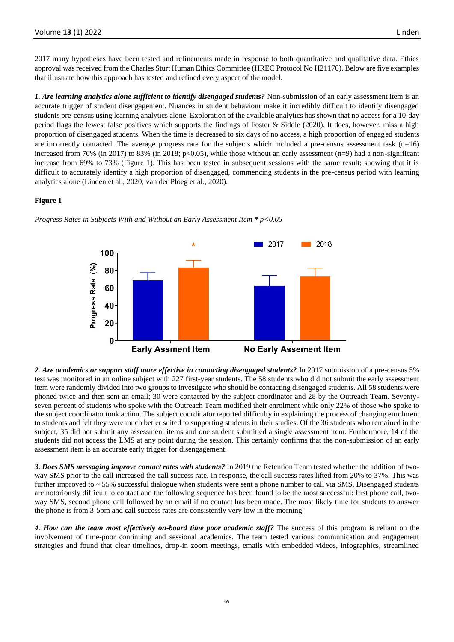2017 many hypotheses have been tested and refinements made in response to both quantitative and qualitative data. Ethics approval was received from the Charles Sturt Human Ethics Committee (HREC Protocol No H21170). Below are five examples that illustrate how this approach has tested and refined every aspect of the model.

*1. Are learning analytics alone sufficient to identify disengaged students?* Non-submission of an early assessment item is an accurate trigger of student disengagement. Nuances in student behaviour make it incredibly difficult to identify disengaged students pre-census using learning analytics alone. Exploration of the available analytics has shown that no access for a 10-day period flags the fewest false positives which supports the findings of Foster & Siddle (2020). It does, however, miss a high proportion of disengaged students. When the time is decreased to six days of no access, a high proportion of engaged students are incorrectly contacted. The average progress rate for the subjects which included a pre-census assessment task (n=16) increased from 70% (in 2017) to 83% (in 2018; p<0.05), while those without an early assessment (n=9) had a non-significant increase from 69% to 73% (Figure 1). This has been tested in subsequent sessions with the same result; showing that it is difficult to accurately identify a high proportion of disengaged, commencing students in the pre-census period with learning analytics alone (Linden et al., 2020; van der Ploeg et al., 2020).

### **Figure 1**



*Progress Rates in Subjects With and Without an Early Assessment Item \* p<0.05*

*2. Are academics or support staff more effective in contacting disengaged students?* In 2017 submission of a pre-census 5% test was monitored in an online subject with 227 first-year students. The 58 students who did not submit the early assessment item were randomly divided into two groups to investigate who should be contacting disengaged students. All 58 students were phoned twice and then sent an email; 30 were contacted by the subject coordinator and 28 by the Outreach Team. Seventyseven percent of students who spoke with the Outreach Team modified their enrolment while only 22% of those who spoke to the subject coordinator took action. The subject coordinator reported difficulty in explaining the process of changing enrolment to students and felt they were much better suited to supporting students in their studies. Of the 36 students who remained in the subject, 35 did not submit any assessment items and one student submitted a single assessment item. Furthermore, 14 of the students did not access the LMS at any point during the session. This certainly confirms that the non-submission of an early assessment item is an accurate early trigger for disengagement.

*3. Does SMS messaging improve contact rates with students?* In 2019 the Retention Team tested whether the addition of twoway SMS prior to the call increased the call success rate. In response, the call success rates lifted from 20% to 37%. This was further improved to ~ 55% successful dialogue when students were sent a phone number to call via SMS. Disengaged students are notoriously difficult to contact and the following sequence has been found to be the most successful: first phone call, twoway SMS, second phone call followed by an email if no contact has been made. The most likely time for students to answer the phone is from 3-5pm and call success rates are consistently very low in the morning.

*4. How can the team most effectively on-board time poor academic staff?* The success of this program is reliant on the involvement of time-poor continuing and sessional academics. The team tested various communication and engagement strategies and found that clear timelines, drop-in zoom meetings, emails with embedded videos, infographics, streamlined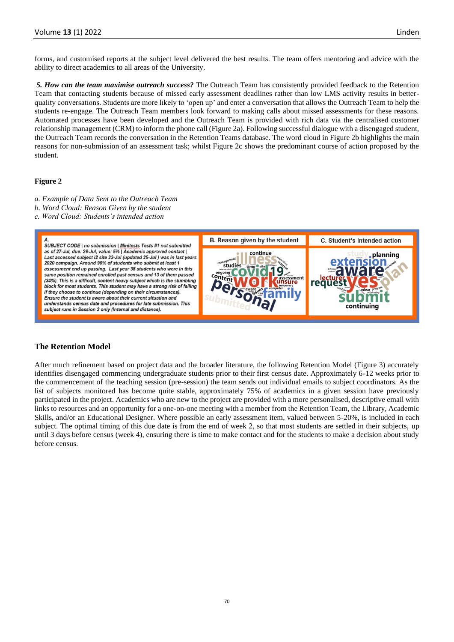forms, and customised reports at the subject level delivered the best results. The team offers mentoring and advice with the ability to direct academics to all areas of the University.

*5. How can the team maximise outreach success?* The Outreach Team has consistently provided feedback to the Retention Team that contacting students because of missed early assessment deadlines rather than low LMS activity results in betterquality conversations. Students are more likely to 'open up' and enter a conversation that allows the Outreach Team to help the students re-engage. The Outreach Team members look forward to making calls about missed assessments for these reasons. Automated processes have been developed and the Outreach Team is provided with rich data via the centralised customer relationship management (CRM) to inform the phone call (Figure 2a). Following successful dialogue with a disengaged student, the Outreach Team records the conversation in the Retention Teams database. The word cloud in Figure 2b highlights the main reasons for non-submission of an assessment task; whilst Figure 2c shows the predominant course of action proposed by the student.

### **Figure 2**

- *a. Example of Data Sent to the Outreach Team*
- *b. Word Cloud: Reason Given by the student*
- *c. Word Cloud: Students's intended action*



### **The Retention Model**

After much refinement based on project data and the broader literature, the following Retention Model (Figure 3) accurately identifies disengaged commencing undergraduate students prior to their first census date. Approximately 6-12 weeks prior to the commencement of the teaching session (pre-session) the team sends out individual emails to subject coordinators. As the list of subjects monitored has become quite stable, approximately 75% of academics in a given session have previously participated in the project. Academics who are new to the project are provided with a more personalised, descriptive email with links to resources and an opportunity for a one-on-one meeting with a member from the Retention Team, the Library, Academic Skills, and/or an Educational Designer. Where possible an early assessment item, valued between 5-20%, is included in each subject. The optimal timing of this due date is from the end of week 2, so that most students are settled in their subjects, up until 3 days before census (week 4), ensuring there is time to make contact and for the students to make a decision about study before census.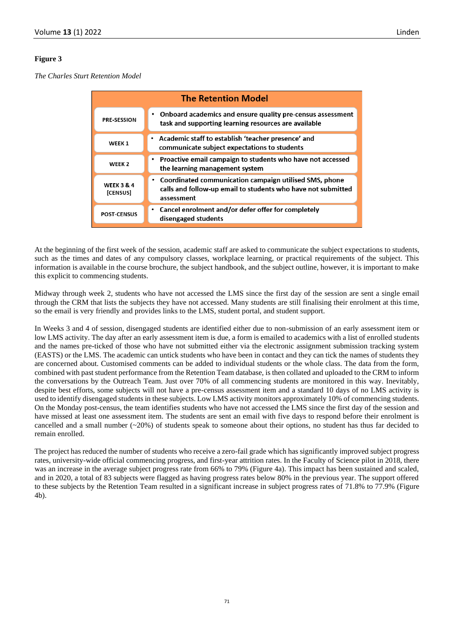#### **Figure 3**

*The Charles Sturt Retention Model*

| <b>The Retention Model</b>        |                                                                                                                                        |
|-----------------------------------|----------------------------------------------------------------------------------------------------------------------------------------|
| <b>PRE-SESSION</b>                | • Onboard academics and ensure quality pre-census assessment<br>task and supporting learning resources are available                   |
| WEEK <sub>1</sub>                 | • Academic staff to establish 'teacher presence' and<br>communicate subject expectations to students                                   |
| WEEK <sub>2</sub>                 | • Proactive email campaign to students who have not accessed<br>the learning management system                                         |
| <b>WEEK 3 &amp; 4</b><br>[CENSUS] | • Coordinated communication campaign utilised SMS, phone<br>calls and follow-up email to students who have not submitted<br>assessment |
| <b>POST-CENSUS</b>                | • Cancel enrolment and/or defer offer for completely<br>disengaged students                                                            |

At the beginning of the first week of the session, academic staff are asked to communicate the subject expectations to students, such as the times and dates of any compulsory classes, workplace learning, or practical requirements of the subject. This information is available in the course brochure, the subject handbook, and the subject outline, however, it is important to make this explicit to commencing students.

Midway through week 2, students who have not accessed the LMS since the first day of the session are sent a single email through the CRM that lists the subjects they have not accessed. Many students are still finalising their enrolment at this time, so the email is very friendly and provides links to the LMS, student portal, and student support.

In Weeks 3 and 4 of session, disengaged students are identified either due to non-submission of an early assessment item or low LMS activity. The day after an early assessment item is due, a form is emailed to academics with a list of enrolled students and the names pre-ticked of those who have not submitted either via the electronic assignment submission tracking system (EASTS) or the LMS. The academic can untick students who have been in contact and they can tick the names of students they are concerned about. Customised comments can be added to individual students or the whole class. The data from the form, combined with past student performance from the Retention Team database, is then collated and uploaded to the CRM to inform the conversations by the Outreach Team. Just over 70% of all commencing students are monitored in this way. Inevitably, despite best efforts, some subjects will not have a pre-census assessment item and a standard 10 days of no LMS activity is used to identify disengaged students in these subjects. Low LMS activity monitors approximately 10% of commencing students. On the Monday post-census, the team identifies students who have not accessed the LMS since the first day of the session and have missed at least one assessment item. The students are sent an email with five days to respond before their enrolment is cancelled and a small number  $(\sim 20\%)$  of students speak to someone about their options, no student has thus far decided to remain enrolled.

The project has reduced the number of students who receive a zero-fail grade which has significantly improved subject progress rates, university-wide official commencing progress, and first-year attrition rates. In the Faculty of Science pilot in 2018, there was an increase in the average subject progress rate from 66% to 79% (Figure 4a). This impact has been sustained and scaled, and in 2020, a total of 83 subjects were flagged as having progress rates below 80% in the previous year. The support offered to these subjects by the Retention Team resulted in a significant increase in subject progress rates of 71.8% to 77.9% (Figure 4b).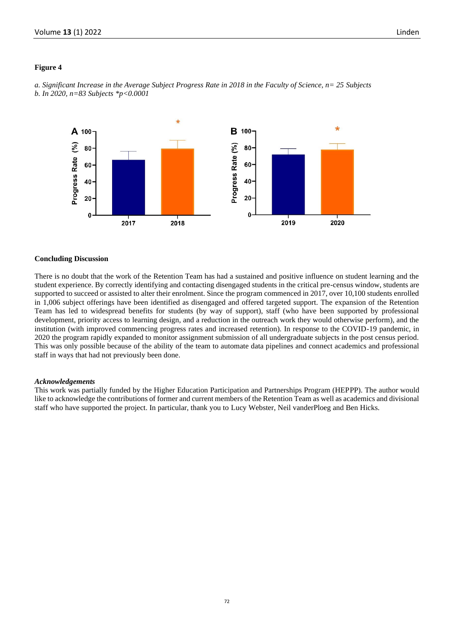### **Figure 4**



*a. Significant Increase in the Average Subject Progress Rate in 2018 in the Faculty of Science, n= 25 Subjects b. In 2020, n=83 Subjects \*p<0.0001*

#### **Concluding Discussion**

There is no doubt that the work of the Retention Team has had a sustained and positive influence on student learning and the student experience. By correctly identifying and contacting disengaged students in the critical pre-census window, students are supported to succeed or assisted to alter their enrolment. Since the program commenced in 2017, over 10,100 students enrolled in 1,006 subject offerings have been identified as disengaged and offered targeted support. The expansion of the Retention Team has led to widespread benefits for students (by way of support), staff (who have been supported by professional development, priority access to learning design, and a reduction in the outreach work they would otherwise perform), and the institution (with improved commencing progress rates and increased retention). In response to the COVID-19 pandemic, in 2020 the program rapidly expanded to monitor assignment submission of all undergraduate subjects in the post census period. This was only possible because of the ability of the team to automate data pipelines and connect academics and professional staff in ways that had not previously been done.

#### *Acknowledgements*

This work was partially funded by the Higher Education Participation and Partnerships Program (HEPPP). The author would like to acknowledge the contributions of former and current members of the Retention Team as well as academics and divisional staff who have supported the project. In particular, thank you to Lucy Webster, Neil vanderPloeg and Ben Hicks.